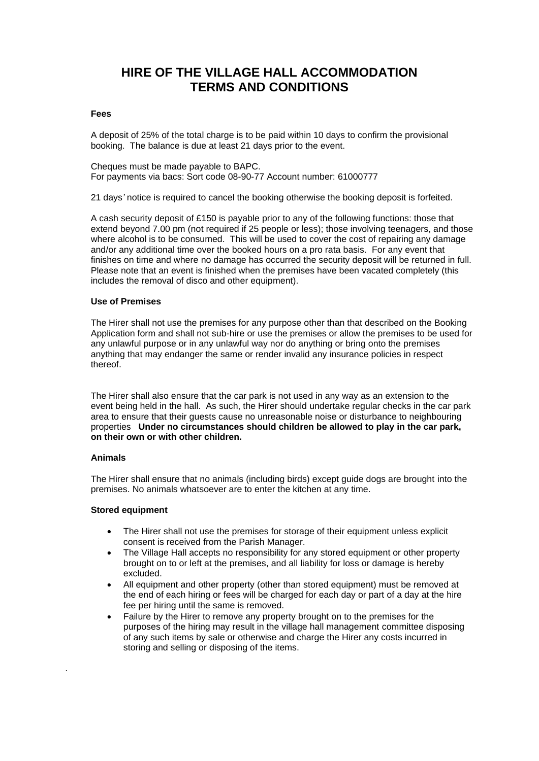# **HIRE OF THE VILLAGE HALL ACCOMMODATION TERMS AND CONDITIONS**

### **Fees**

A deposit of 25% of the total charge is to be paid within 10 days to confirm the provisional booking. The balance is due at least 21 days prior to the event.

Cheques must be made payable to BAPC. For payments via bacs: Sort code 08-90-77 Account number: 61000777

21 days*'* notice is required to cancel the booking otherwise the booking deposit is forfeited.

A cash security deposit of £150 is payable prior to any of the following functions: those that extend beyond 7.00 pm (not required if 25 people or less); those involving teenagers, and those where alcohol is to be consumed. This will be used to cover the cost of repairing any damage and/or any additional time over the booked hours on a pro rata basis. For any event that finishes on time and where no damage has occurred the security deposit will be returned in full. Please note that an event is finished when the premises have been vacated completely (this includes the removal of disco and other equipment).

### **Use of Premises**

The Hirer shall not use the premises for any purpose other than that described on the Booking Application form and shall not sub-hire or use the premises or allow the premises to be used for any unlawful purpose or in any unlawful way nor do anything or bring onto the premises anything that may endanger the same or render invalid any insurance policies in respect thereof.

The Hirer shall also ensure that the car park is not used in any way as an extension to the event being held in the hall. As such, the Hirer should undertake regular checks in the car park area to ensure that their guests cause no unreasonable noise or disturbance to neighbouring properties **Under no circumstances should children be allowed to play in the car park, on their own or with other children.**

### **Animals**

.

The Hirer shall ensure that no animals (including birds) except guide dogs are brought into the premises. No animals whatsoever are to enter the kitchen at any time.

### **Stored equipment**

- The Hirer shall not use the premises for storage of their equipment unless explicit consent is received from the Parish Manager.
- The Village Hall accepts no responsibility for any stored equipment or other property brought on to or left at the premises, and all liability for loss or damage is hereby excluded.
- All equipment and other property (other than stored equipment) must be removed at the end of each hiring or fees will be charged for each day or part of a day at the hire fee per hiring until the same is removed.
- Failure by the Hirer to remove any property brought on to the premises for the purposes of the hiring may result in the village hall management committee disposing of any such items by sale or otherwise and charge the Hirer any costs incurred in storing and selling or disposing of the items.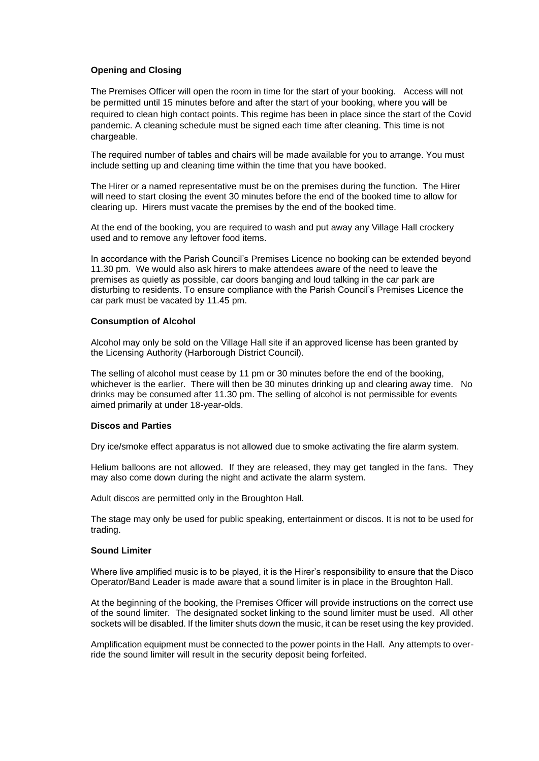## **Opening and Closing**

The Premises Officer will open the room in time for the start of your booking. Access will not be permitted until 15 minutes before and after the start of your booking, where you will be required to clean high contact points. This regime has been in place since the start of the Covid pandemic. A cleaning schedule must be signed each time after cleaning. This time is not chargeable.

The required number of tables and chairs will be made available for you to arrange. You must include setting up and cleaning time within the time that you have booked.

The Hirer or a named representative must be on the premises during the function. The Hirer will need to start closing the event 30 minutes before the end of the booked time to allow for clearing up. Hirers must vacate the premises by the end of the booked time.

At the end of the booking, you are required to wash and put away any Village Hall crockery used and to remove any leftover food items.

In accordance with the Parish Council's Premises Licence no booking can be extended beyond 11.30 pm. We would also ask hirers to make attendees aware of the need to leave the premises as quietly as possible, car doors banging and loud talking in the car park are disturbing to residents. To ensure compliance with the Parish Council's Premises Licence the car park must be vacated by 11.45 pm.

### **Consumption of Alcohol**

Alcohol may only be sold on the Village Hall site if an approved license has been granted by the Licensing Authority (Harborough District Council).

The selling of alcohol must cease by 11 pm or 30 minutes before the end of the booking, whichever is the earlier. There will then be 30 minutes drinking up and clearing away time. No drinks may be consumed after 11.30 pm. The selling of alcohol is not permissible for events aimed primarily at under 18-year-olds.

### **Discos and Parties**

Dry ice/smoke effect apparatus is not allowed due to smoke activating the fire alarm system.

Helium balloons are not allowed. If they are released, they may get tangled in the fans. They may also come down during the night and activate the alarm system.

Adult discos are permitted only in the Broughton Hall.

The stage may only be used for public speaking, entertainment or discos. It is not to be used for trading.

#### **Sound Limiter**

Where live amplified music is to be played, it is the Hirer's responsibility to ensure that the Disco Operator/Band Leader is made aware that a sound limiter is in place in the Broughton Hall.

At the beginning of the booking, the Premises Officer will provide instructions on the correct use of the sound limiter. The designated socket linking to the sound limiter must be used. All other sockets will be disabled. If the limiter shuts down the music, it can be reset using the key provided.

Amplification equipment must be connected to the power points in the Hall. Any attempts to override the sound limiter will result in the security deposit being forfeited.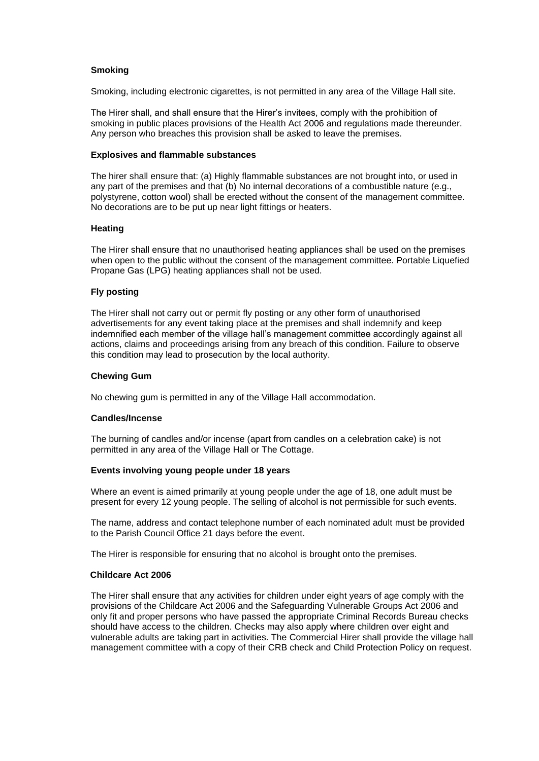## **Smoking**

Smoking, including electronic cigarettes, is not permitted in any area of the Village Hall site.

The Hirer shall, and shall ensure that the Hirer's invitees, comply with the prohibition of smoking in public places provisions of the Health Act 2006 and regulations made thereunder. Any person who breaches this provision shall be asked to leave the premises.

#### **Explosives and flammable substances**

The hirer shall ensure that: (a) Highly flammable substances are not brought into, or used in any part of the premises and that (b) No internal decorations of a combustible nature (e.g., polystyrene, cotton wool) shall be erected without the consent of the management committee. No decorations are to be put up near light fittings or heaters.

### **Heating**

The Hirer shall ensure that no unauthorised heating appliances shall be used on the premises when open to the public without the consent of the management committee. Portable Liquefied Propane Gas (LPG) heating appliances shall not be used.

### **Fly posting**

The Hirer shall not carry out or permit fly posting or any other form of unauthorised advertisements for any event taking place at the premises and shall indemnify and keep indemnified each member of the village hall's management committee accordingly against all actions, claims and proceedings arising from any breach of this condition. Failure to observe this condition may lead to prosecution by the local authority.

#### **Chewing Gum**

No chewing gum is permitted in any of the Village Hall accommodation.

### **Candles/Incense**

The burning of candles and/or incense (apart from candles on a celebration cake) is not permitted in any area of the Village Hall or The Cottage.

#### **Events involving young people under 18 years**

Where an event is aimed primarily at young people under the age of 18, one adult must be present for every 12 young people. The selling of alcohol is not permissible for such events.

The name, address and contact telephone number of each nominated adult must be provided to the Parish Council Office 21 days before the event.

The Hirer is responsible for ensuring that no alcohol is brought onto the premises.

#### **Childcare Act 2006**

The Hirer shall ensure that any activities for children under eight years of age comply with the provisions of the Childcare Act 2006 and the Safeguarding Vulnerable Groups Act 2006 and only fit and proper persons who have passed the appropriate Criminal Records Bureau checks should have access to the children. Checks may also apply where children over eight and vulnerable adults are taking part in activities. The Commercial Hirer shall provide the village hall management committee with a copy of their CRB check and Child Protection Policy on request.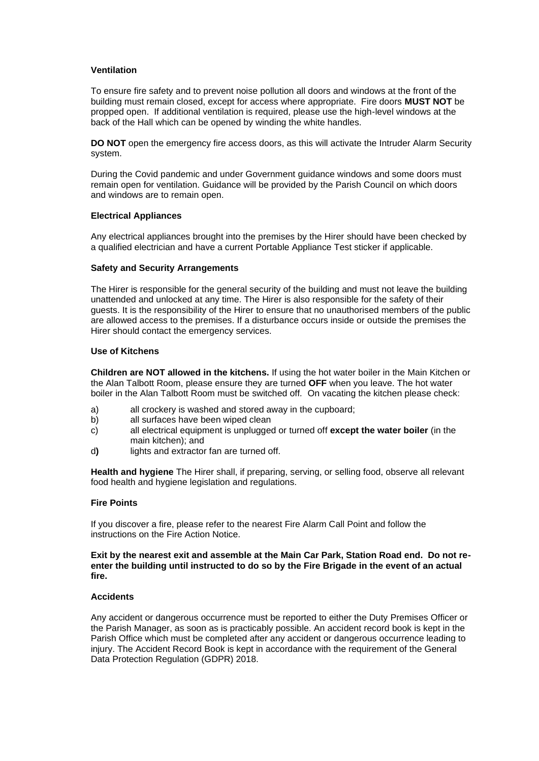## **Ventilation**

To ensure fire safety and to prevent noise pollution all doors and windows at the front of the building must remain closed, except for access where appropriate. Fire doors **MUST NOT** be propped open. If additional ventilation is required, please use the high-level windows at the back of the Hall which can be opened by winding the white handles.

**DO NOT** open the emergency fire access doors, as this will activate the Intruder Alarm Security system.

During the Covid pandemic and under Government guidance windows and some doors must remain open for ventilation. Guidance will be provided by the Parish Council on which doors and windows are to remain open.

## **Electrical Appliances**

Any electrical appliances brought into the premises by the Hirer should have been checked by a qualified electrician and have a current Portable Appliance Test sticker if applicable.

## **Safety and Security Arrangements**

The Hirer is responsible for the general security of the building and must not leave the building unattended and unlocked at any time. The Hirer is also responsible for the safety of their guests. It is the responsibility of the Hirer to ensure that no unauthorised members of the public are allowed access to the premises. If a disturbance occurs inside or outside the premises the Hirer should contact the emergency services.

## **Use of Kitchens**

**Children are NOT allowed in the kitchens.** If using the hot water boiler in the Main Kitchen or the Alan Talbott Room, please ensure they are turned **OFF** when you leave. The hot water boiler in the Alan Talbott Room must be switched off*.* On vacating the kitchen please check:

- a) all crockery is washed and stored away in the cupboard;
- b) all surfaces have been wiped clean
- c) all electrical equipment is unplugged or turned off **except the water boiler** (in the main kitchen); and
- d**)** lights and extractor fan are turned off.

**Health and hygiene** The Hirer shall, if preparing, serving, or selling food, observe all relevant food health and hygiene legislation and regulations.

## **Fire Points**

If you discover a fire, please refer to the nearest Fire Alarm Call Point and follow the instructions on the Fire Action Notice.

### **Exit by the nearest exit and assemble at the Main Car Park, Station Road end. Do not reenter the building until instructed to do so by the Fire Brigade in the event of an actual fire.**

### **Accidents**

Any accident or dangerous occurrence must be reported to either the Duty Premises Officer or the Parish Manager, as soon as is practicably possible. An accident record book is kept in the Parish Office which must be completed after any accident or dangerous occurrence leading to injury. The Accident Record Book is kept in accordance with the requirement of the General Data Protection Regulation (GDPR) 2018.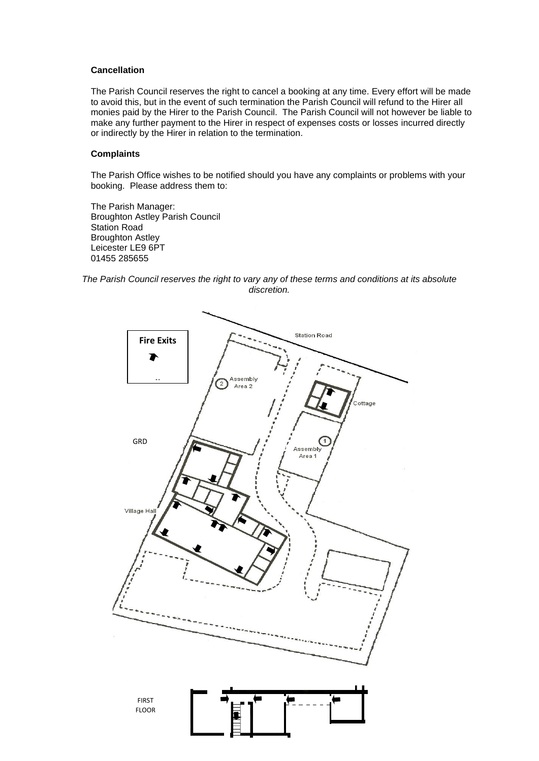### **Cancellation**

The Parish Council reserves the right to cancel a booking at any time. Every effort will be made to avoid this, but in the event of such termination the Parish Council will refund to the Hirer all monies paid by the Hirer to the Parish Council. The Parish Council will not however be liable to make any further payment to the Hirer in respect of expenses costs or losses incurred directly or indirectly by the Hirer in relation to the termination.

## **Complaints**

The Parish Office wishes to be notified should you have any complaints or problems with your booking. Please address them to:

The Parish Manager: Broughton Astley Parish Council Station Road Broughton Astley Leicester LE9 6PT 01455 285655

*The Parish Council reserves the right to vary any of these terms and conditions at its absolute discretion.*

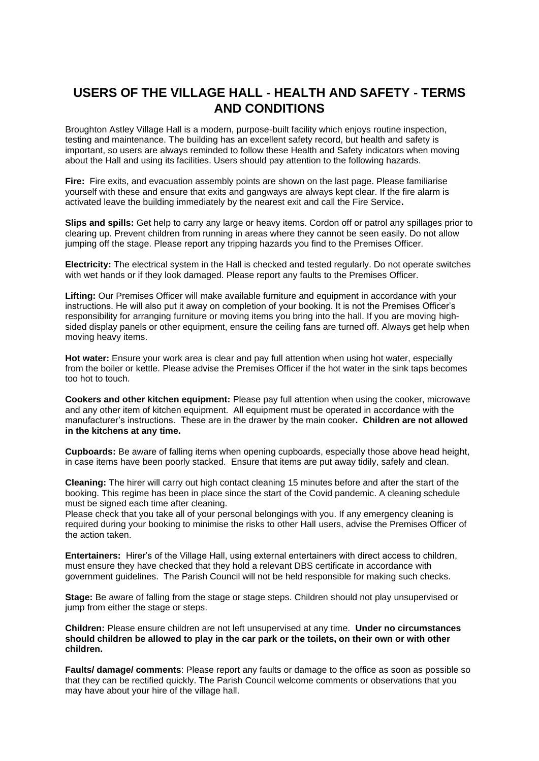# **USERS OF THE VILLAGE HALL - HEALTH AND SAFETY - TERMS AND CONDITIONS**

Broughton Astley Village Hall is a modern, purpose-built facility which enjoys routine inspection, testing and maintenance. The building has an excellent safety record, but health and safety is important, so users are always reminded to follow these Health and Safety indicators when moving about the Hall and using its facilities. Users should pay attention to the following hazards.

**Fire:** Fire exits, and evacuation assembly points are shown on the last page. Please familiarise yourself with these and ensure that exits and gangways are always kept clear. If the fire alarm is activated leave the building immediately by the nearest exit and call the Fire Service**.**

**Slips and spills:** Get help to carry any large or heavy items. Cordon off or patrol any spillages prior to clearing up. Prevent children from running in areas where they cannot be seen easily. Do not allow jumping off the stage. Please report any tripping hazards you find to the Premises Officer.

**Electricity:** The electrical system in the Hall is checked and tested regularly. Do not operate switches with wet hands or if they look damaged. Please report any faults to the Premises Officer.

**Lifting:** Our Premises Officer will make available furniture and equipment in accordance with your instructions. He will also put it away on completion of your booking. It is not the Premises Officer's responsibility for arranging furniture or moving items you bring into the hall. If you are moving highsided display panels or other equipment, ensure the ceiling fans are turned off. Always get help when moving heavy items.

**Hot water:** Ensure your work area is clear and pay full attention when using hot water, especially from the boiler or kettle. Please advise the Premises Officer if the hot water in the sink taps becomes too hot to touch.

**Cookers and other kitchen equipment:** Please pay full attention when using the cooker, microwave and any other item of kitchen equipment. All equipment must be operated in accordance with the manufacturer's instructions. These are in the drawer by the main cooker**. Children are not allowed in the kitchens at any time.**

**Cupboards:** Be aware of falling items when opening cupboards, especially those above head height, in case items have been poorly stacked. Ensure that items are put away tidily, safely and clean.

**Cleaning:** The hirer will carry out high contact cleaning 15 minutes before and after the start of the booking. This regime has been in place since the start of the Covid pandemic. A cleaning schedule must be signed each time after cleaning.

Please check that you take all of your personal belongings with you. If any emergency cleaning is required during your booking to minimise the risks to other Hall users, advise the Premises Officer of the action taken.

**Entertainers:** Hirer's of the Village Hall, using external entertainers with direct access to children, must ensure they have checked that they hold a relevant DBS certificate in accordance with government guidelines. The Parish Council will not be held responsible for making such checks.

**Stage:** Be aware of falling from the stage or stage steps. Children should not play unsupervised or jump from either the stage or steps.

**Children:** Please ensure children are not left unsupervised at any time. **Under no circumstances should children be allowed to play in the car park or the toilets, on their own or with other children.**

**Faults/ damage/ comments**: Please report any faults or damage to the office as soon as possible so that they can be rectified quickly. The Parish Council welcome comments or observations that you may have about your hire of the village hall.